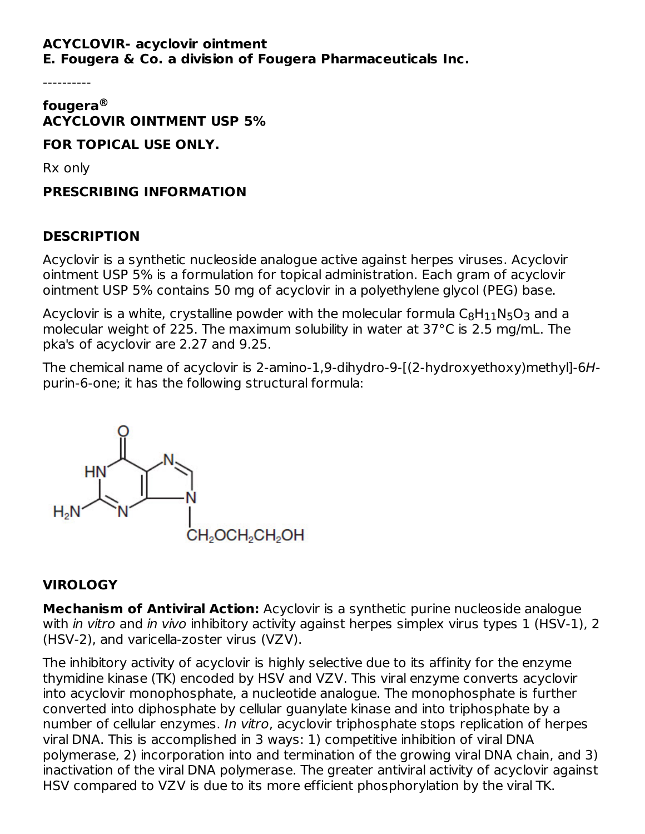#### **ACYCLOVIR- acyclovir ointment E. Fougera & Co. a division of Fougera Pharmaceuticals Inc.**

----------

#### **fougera ® ACYCLOVIR OINTMENT USP 5%**

**FOR TOPICAL USE ONLY.**

Rx only

**PRESCRIBING INFORMATION**

### **DESCRIPTION**

Acyclovir is a synthetic nucleoside analogue active against herpes viruses. Acyclovir ointment USP 5% is a formulation for topical administration. Each gram of acyclovir ointment USP 5% contains 50 mg of acyclovir in a polyethylene glycol (PEG) base.

Acyclovir is a white, crystalline powder with the molecular formula  $\mathsf{C}_8\mathsf{H}_{11}\mathsf{N}_5\mathsf{O}_3$  and a molecular weight of 225. The maximum solubility in water at 37°C is 2.5 mg/mL. The pka's of acyclovir are 2.27 and 9.25.

The chemical name of acyclovir is 2-amino-1,9-dihydro-9-[(2-hydroxyethoxy)methyl]-6Hpurin-6-one; it has the following structural formula:



#### **VIROLOGY**

**Mechanism of Antiviral Action:** Acyclovir is a synthetic purine nucleoside analogue with in vitro and in vivo inhibitory activity against herpes simplex virus types 1 (HSV-1), 2 (HSV-2), and varicella-zoster virus (VZV).

The inhibitory activity of acyclovir is highly selective due to its affinity for the enzyme thymidine kinase (TK) encoded by HSV and VZV. This viral enzyme converts acyclovir into acyclovir monophosphate, a nucleotide analogue. The monophosphate is further converted into diphosphate by cellular guanylate kinase and into triphosphate by a number of cellular enzymes. In vitro, acyclovir triphosphate stops replication of herpes viral DNA. This is accomplished in 3 ways: 1) competitive inhibition of viral DNA polymerase, 2) incorporation into and termination of the growing viral DNA chain, and 3) inactivation of the viral DNA polymerase. The greater antiviral activity of acyclovir against HSV compared to VZV is due to its more efficient phosphorylation by the viral TK.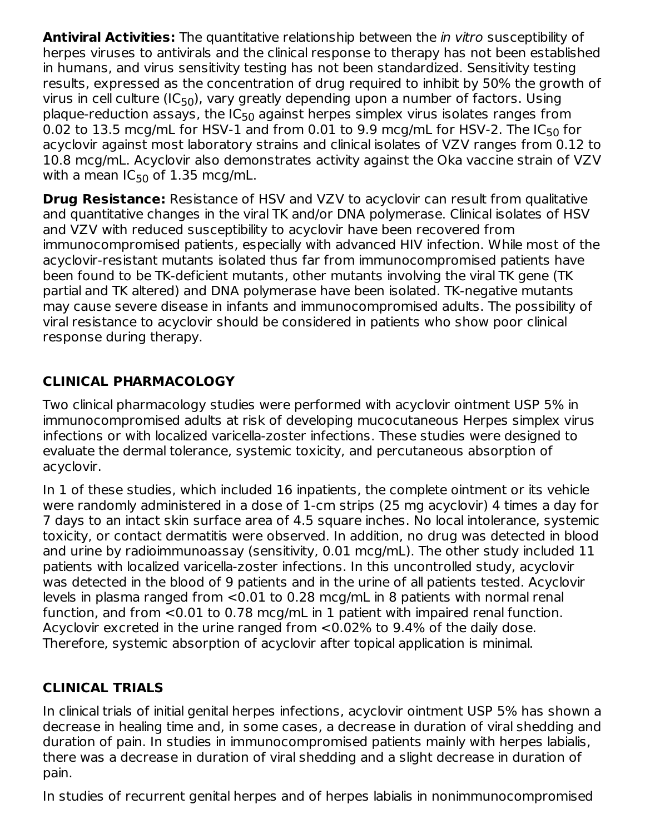**Antiviral Activities:** The quantitative relationship between the in vitro susceptibility of herpes viruses to antivirals and the clinical response to therapy has not been established in humans, and virus sensitivity testing has not been standardized. Sensitivity testing results, expressed as the concentration of drug required to inhibit by 50% the growth of virus in cell culture (IC<sub>50</sub>), vary greatly depending upon a number of factors. Using plaque-reduction assays, the IC<sub>50</sub> against herpes simplex virus isolates ranges from 0.02 to 13.5 mcg/mL for HSV-1 and from 0.01 to 9.9 mcg/mL for HSV-2. The IC $_{50}$  for acyclovir against most laboratory strains and clinical isolates of VZV ranges from 0.12 to 10.8 mcg/mL. Acyclovir also demonstrates activity against the Oka vaccine strain of VZV with a mean IC $_{50}$  of 1.35 mcg/mL.

**Drug Resistance:** Resistance of HSV and VZV to acyclovir can result from qualitative and quantitative changes in the viral TK and/or DNA polymerase. Clinical isolates of HSV and VZV with reduced susceptibility to acyclovir have been recovered from immunocompromised patients, especially with advanced HIV infection. While most of the acyclovir-resistant mutants isolated thus far from immunocompromised patients have been found to be TK-deficient mutants, other mutants involving the viral TK gene (TK partial and TK altered) and DNA polymerase have been isolated. TK-negative mutants may cause severe disease in infants and immunocompromised adults. The possibility of viral resistance to acyclovir should be considered in patients who show poor clinical response during therapy.

# **CLINICAL PHARMACOLOGY**

Two clinical pharmacology studies were performed with acyclovir ointment USP 5% in immunocompromised adults at risk of developing mucocutaneous Herpes simplex virus infections or with localized varicella-zoster infections. These studies were designed to evaluate the dermal tolerance, systemic toxicity, and percutaneous absorption of acyclovir.

In 1 of these studies, which included 16 inpatients, the complete ointment or its vehicle were randomly administered in a dose of 1-cm strips (25 mg acyclovir) 4 times a day for 7 days to an intact skin surface area of 4.5 square inches. No local intolerance, systemic toxicity, or contact dermatitis were observed. In addition, no drug was detected in blood and urine by radioimmunoassay (sensitivity, 0.01 mcg/mL). The other study included 11 patients with localized varicella-zoster infections. In this uncontrolled study, acyclovir was detected in the blood of 9 patients and in the urine of all patients tested. Acyclovir levels in plasma ranged from <0.01 to 0.28 mcg/mL in 8 patients with normal renal function, and from <0.01 to 0.78 mcg/mL in 1 patient with impaired renal function. Acyclovir excreted in the urine ranged from <0.02% to 9.4% of the daily dose. Therefore, systemic absorption of acyclovir after topical application is minimal.

# **CLINICAL TRIALS**

In clinical trials of initial genital herpes infections, acyclovir ointment USP 5% has shown a decrease in healing time and, in some cases, a decrease in duration of viral shedding and duration of pain. In studies in immunocompromised patients mainly with herpes labialis, there was a decrease in duration of viral shedding and a slight decrease in duration of pain.

In studies of recurrent genital herpes and of herpes labialis in nonimmunocompromised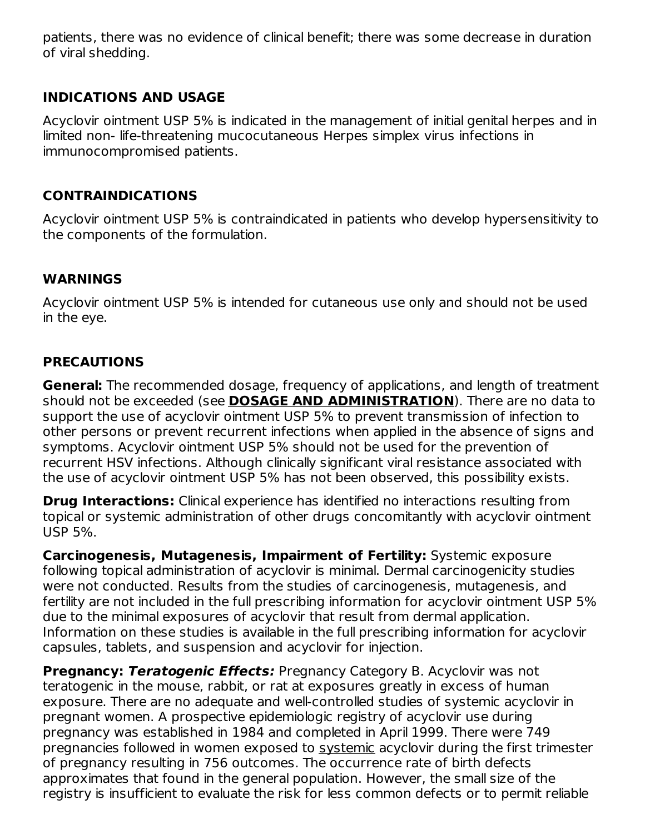patients, there was no evidence of clinical benefit; there was some decrease in duration of viral shedding.

#### **INDICATIONS AND USAGE**

Acyclovir ointment USP 5% is indicated in the management of initial genital herpes and in limited non- life-threatening mucocutaneous Herpes simplex virus infections in immunocompromised patients.

#### **CONTRAINDICATIONS**

Acyclovir ointment USP 5% is contraindicated in patients who develop hypersensitivity to the components of the formulation.

#### **WARNINGS**

Acyclovir ointment USP 5% is intended for cutaneous use only and should not be used in the eye.

#### **PRECAUTIONS**

**General:** The recommended dosage, frequency of applications, and length of treatment should not be exceeded (see **DOSAGE AND ADMINISTRATION**). There are no data to support the use of acyclovir ointment USP 5% to prevent transmission of infection to other persons or prevent recurrent infections when applied in the absence of signs and symptoms. Acyclovir ointment USP 5% should not be used for the prevention of recurrent HSV infections. Although clinically significant viral resistance associated with the use of acyclovir ointment USP 5% has not been observed, this possibility exists.

**Drug Interactions:** Clinical experience has identified no interactions resulting from topical or systemic administration of other drugs concomitantly with acyclovir ointment USP 5%.

**Carcinogenesis, Mutagenesis, Impairment of Fertility:** Systemic exposure following topical administration of acyclovir is minimal. Dermal carcinogenicity studies were not conducted. Results from the studies of carcinogenesis, mutagenesis, and fertility are not included in the full prescribing information for acyclovir ointment USP 5% due to the minimal exposures of acyclovir that result from dermal application. Information on these studies is available in the full prescribing information for acyclovir capsules, tablets, and suspension and acyclovir for injection.

**Pregnancy: Teratogenic Effects:** Pregnancy Category B. Acyclovir was not teratogenic in the mouse, rabbit, or rat at exposures greatly in excess of human exposure. There are no adequate and well-controlled studies of systemic acyclovir in pregnant women. A prospective epidemiologic registry of acyclovir use during pregnancy was established in 1984 and completed in April 1999. There were 749 pregnancies followed in women exposed to systemic acyclovir during the first trimester of pregnancy resulting in 756 outcomes. The occurrence rate of birth defects approximates that found in the general population. However, the small size of the registry is insufficient to evaluate the risk for less common defects or to permit reliable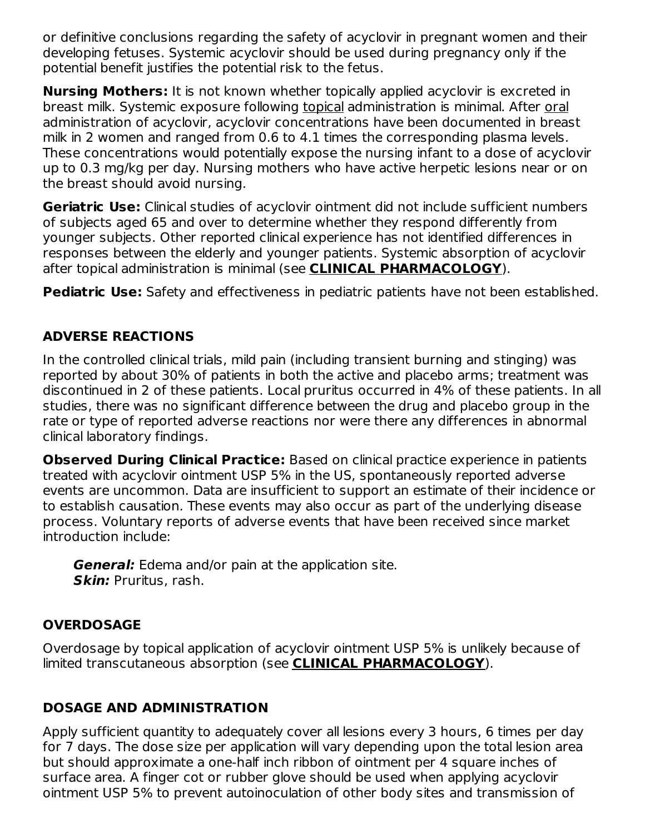or definitive conclusions regarding the safety of acyclovir in pregnant women and their developing fetuses. Systemic acyclovir should be used during pregnancy only if the potential benefit justifies the potential risk to the fetus.

**Nursing Mothers:** It is not known whether topically applied acyclovir is excreted in breast milk. Systemic exposure following topical administration is minimal. After oral administration of acyclovir, acyclovir concentrations have been documented in breast milk in 2 women and ranged from 0.6 to 4.1 times the corresponding plasma levels. These concentrations would potentially expose the nursing infant to a dose of acyclovir up to 0.3 mg/kg per day. Nursing mothers who have active herpetic lesions near or on the breast should avoid nursing.

**Geriatric Use:** Clinical studies of acyclovir ointment did not include sufficient numbers of subjects aged 65 and over to determine whether they respond differently from younger subjects. Other reported clinical experience has not identified differences in responses between the elderly and younger patients. Systemic absorption of acyclovir after topical administration is minimal (see **CLINICAL PHARMACOLOGY**).

**Pediatric Use:** Safety and effectiveness in pediatric patients have not been established.

## **ADVERSE REACTIONS**

In the controlled clinical trials, mild pain (including transient burning and stinging) was reported by about 30% of patients in both the active and placebo arms; treatment was discontinued in 2 of these patients. Local pruritus occurred in 4% of these patients. In all studies, there was no significant difference between the drug and placebo group in the rate or type of reported adverse reactions nor were there any differences in abnormal clinical laboratory findings.

**Observed During Clinical Practice:** Based on clinical practice experience in patients treated with acyclovir ointment USP 5% in the US, spontaneously reported adverse events are uncommon. Data are insufficient to support an estimate of their incidence or to establish causation. These events may also occur as part of the underlying disease process. Voluntary reports of adverse events that have been received since market introduction include:

**General:** Edema and/or pain at the application site. **Skin:** Pruritus, rash.

### **OVERDOSAGE**

Overdosage by topical application of acyclovir ointment USP 5% is unlikely because of limited transcutaneous absorption (see **CLINICAL PHARMACOLOGY**).

# **DOSAGE AND ADMINISTRATION**

Apply sufficient quantity to adequately cover all lesions every 3 hours, 6 times per day for 7 days. The dose size per application will vary depending upon the total lesion area but should approximate a one-half inch ribbon of ointment per 4 square inches of surface area. A finger cot or rubber glove should be used when applying acyclovir ointment USP 5% to prevent autoinoculation of other body sites and transmission of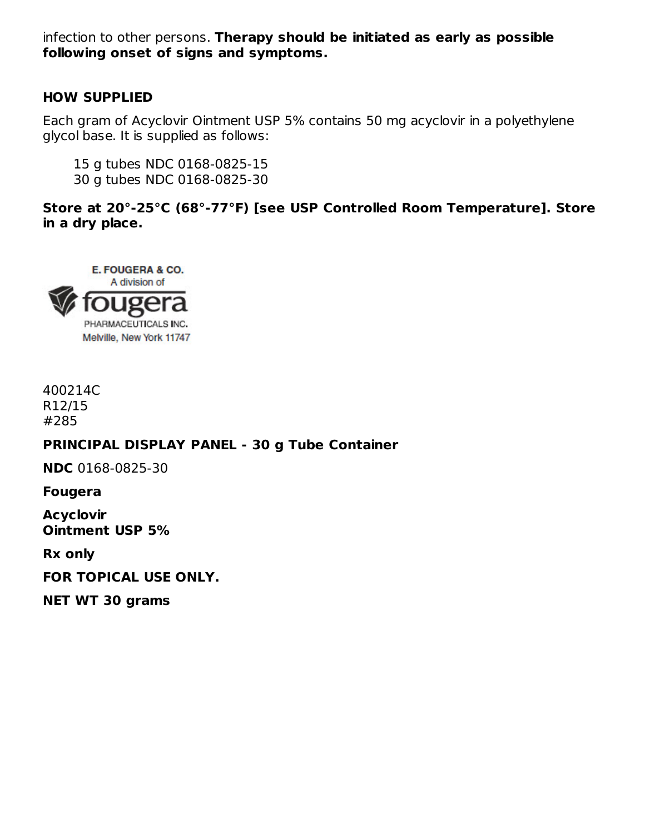infection to other persons. **Therapy should be initiated as early as possible following onset of signs and symptoms.**

#### **HOW SUPPLIED**

Each gram of Acyclovir Ointment USP 5% contains 50 mg acyclovir in a polyethylene glycol base. It is supplied as follows:

15 g tubes NDC 0168-0825-15 30 g tubes NDC 0168-0825-30

**Store at 20°-25°C (68°-77°F) [see USP Controlled Room Temperature]. Store in a dry place.**



400214C R12/15 #285

#### **PRINCIPAL DISPLAY PANEL - 30 g Tube Container**

**NDC** 0168-0825-30

**Fougera**

**Acyclovir Ointment USP 5%**

**Rx only**

**FOR TOPICAL USE ONLY.**

**NET WT 30 grams**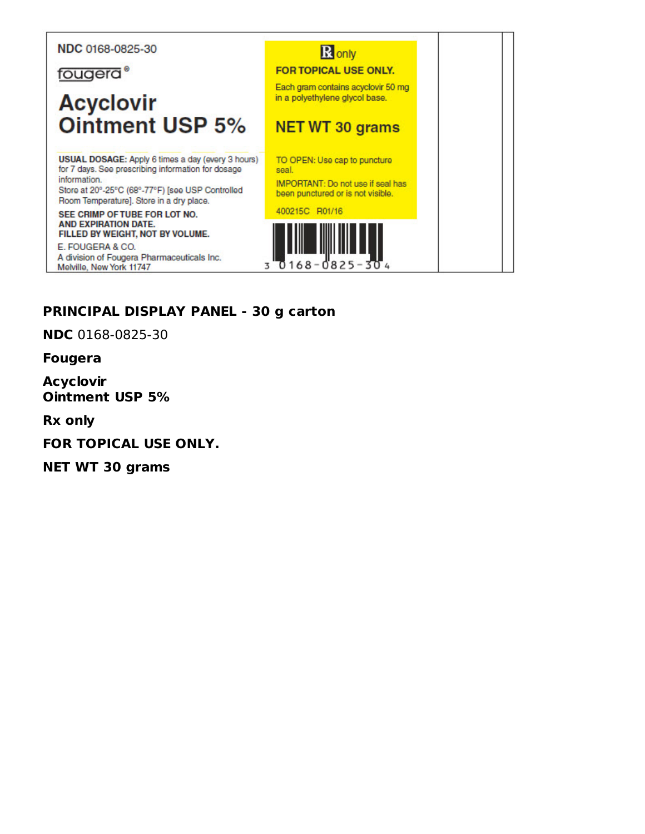#### NDC 0168-0825-30

fougera<sup>®</sup>

# **Acyclovir Ointment USP 5%**

USUAL DOSAGE: Apply 6 times a day (every 3 hours) for 7 days. See prescribing information for dosage information.

Store at 20°-25°C (68°-77°F) [see USP Controlled Room Temperature]. Store in a dry place.

SEE CRIMP OF TUBE FOR LOT NO. **AND EXPIRATION DATE.** FILLED BY WEIGHT, NOT BY VOLUME.

E. FOUGERA & CO. A division of Fougera Pharmaceuticals Inc. Melville, New York 11747



### PRINCIPAL DISPLAY PANEL - 30 g carton

**NDC** 0168-0825-30

**Fougera** 

**Acyclovir Ointment USP 5%** 

**Rx only** 

FOR TOPICAL USE ONLY.

**NET WT 30 grams**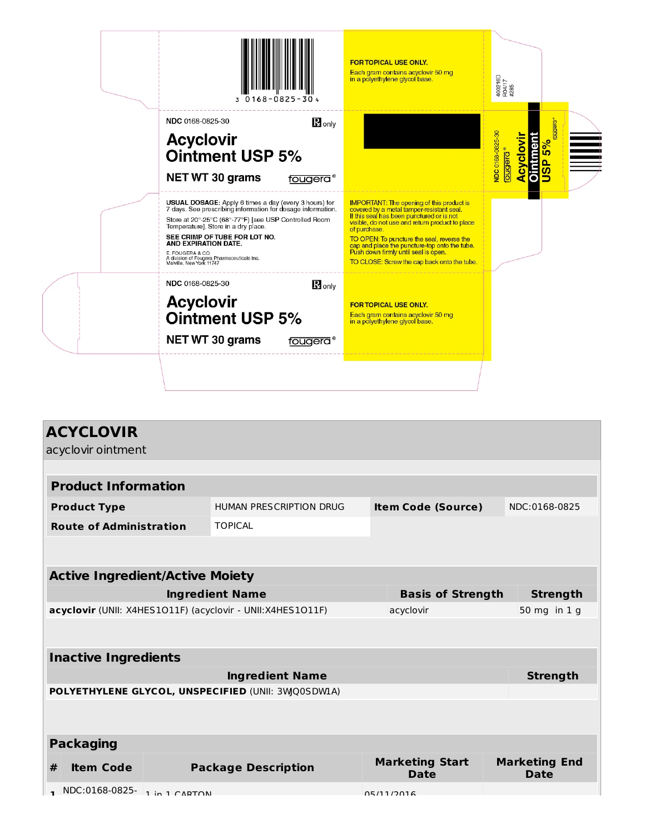| 3 0168-0825-304                                                                                                                                                                                                                                                                                                                                                                    | <b>FOR TOPICAL USE ONLY.</b><br>Each gram contains acyclovir 50 mg<br>in a polyethylene glycol base.                                                                                                                                                                                                                                                                                                | 400216D<br>R04/17<br>#285                                                                      |
|------------------------------------------------------------------------------------------------------------------------------------------------------------------------------------------------------------------------------------------------------------------------------------------------------------------------------------------------------------------------------------|-----------------------------------------------------------------------------------------------------------------------------------------------------------------------------------------------------------------------------------------------------------------------------------------------------------------------------------------------------------------------------------------------------|------------------------------------------------------------------------------------------------|
| NDC 0168-0825-30<br>$\mathbf R$ only<br><b>Acyclovir</b><br><b>Ointment USP 5%</b><br><b>NET WT 30 grams</b><br>fougera®                                                                                                                                                                                                                                                           |                                                                                                                                                                                                                                                                                                                                                                                                     | puebna<br>NDC 0168-0825-30<br><b>Dintment</b><br>Acyclovi<br>5%<br><u>prepno</u><br><b>usu</b> |
| <b>USUAL DOSAGE:</b> Apply 6 times a day (every 3 hours) for<br>7 days. See prescribing information for dosage information.<br>Store at 20°-25°C (68°-77°F) [see USP Controlled Room<br>Temperature]. Store in a dry place.<br>SEE CRIMP OF TUBE FOR LOT NO.<br>AND EXPIRATION DATE.<br>E. FOUGERA & CO.<br>A division of Fougera Pharmaceuticals Inc.<br>Melville, New York 11747 | <b>IMPORTANT:</b> The opening of this product is<br>covered by a metal tamper-resistant seal.<br>If this seal has been punctured or is not<br>visible, do not use and return product to place<br>of purchase.<br>TO OPEN: To puncture the seal, reverse the<br>cap and place the puncture-top onto the tube.<br>Push down firmly until seal is open.<br>TO CLOSE: Screw the cap back onto the tube. |                                                                                                |
| NDC 0168-0825-30<br>$R_{\text{only}}$<br><b>Acyclovir</b><br><b>Ointment USP 5%</b><br><b>NET WT 30 grams</b><br>fougera®                                                                                                                                                                                                                                                          | <b>FOR TOPICAL USE ONLY.</b><br>Each gram contains acyclovir 50 mg<br>in a polyethylene glycol base.                                                                                                                                                                                                                                                                                                |                                                                                                |
|                                                                                                                                                                                                                                                                                                                                                                                    |                                                                                                                                                                                                                                                                                                                                                                                                     |                                                                                                |

| <b>ACYCLOVIR</b>                                           |                                |  |                                       |  |                                     |  |  |
|------------------------------------------------------------|--------------------------------|--|---------------------------------------|--|-------------------------------------|--|--|
| acyclovir ointment                                         |                                |  |                                       |  |                                     |  |  |
|                                                            |                                |  |                                       |  |                                     |  |  |
| <b>Product Information</b>                                 |                                |  |                                       |  |                                     |  |  |
| <b>Product Type</b>                                        | <b>HUMAN PRESCRIPTION DRUG</b> |  | <b>Item Code (Source)</b>             |  | NDC:0168-0825                       |  |  |
| <b>Route of Administration</b>                             | <b>TOPICAL</b>                 |  |                                       |  |                                     |  |  |
|                                                            |                                |  |                                       |  |                                     |  |  |
|                                                            |                                |  |                                       |  |                                     |  |  |
| <b>Active Ingredient/Active Moiety</b>                     |                                |  |                                       |  |                                     |  |  |
| <b>Ingredient Name</b><br><b>Basis of Strength</b>         |                                |  |                                       |  | <b>Strength</b>                     |  |  |
| acyclovir (UNII: X4HES1O11F) (acyclovir - UNII:X4HES1O11F) |                                |  | acyclovir                             |  | 50 mg in 1 g                        |  |  |
|                                                            |                                |  |                                       |  |                                     |  |  |
| <b>Inactive Ingredients</b>                                |                                |  |                                       |  |                                     |  |  |
|                                                            | <b>Ingredient Name</b>         |  |                                       |  | <b>Strength</b>                     |  |  |
| POLYETHYLENE GLYCOL, UNSPECIFIED (UNII: 3WQ0SDW1A)         |                                |  |                                       |  |                                     |  |  |
|                                                            |                                |  |                                       |  |                                     |  |  |
| <b>Packaging</b>                                           |                                |  |                                       |  |                                     |  |  |
| <b>Item Code</b><br>#                                      | <b>Package Description</b>     |  | <b>Marketing Start</b><br><b>Date</b> |  | <b>Marketing End</b><br><b>Date</b> |  |  |
| NDC:0168-0825- 1 in 1 CAPTON                               |                                |  | 05/11/2016                            |  |                                     |  |  |